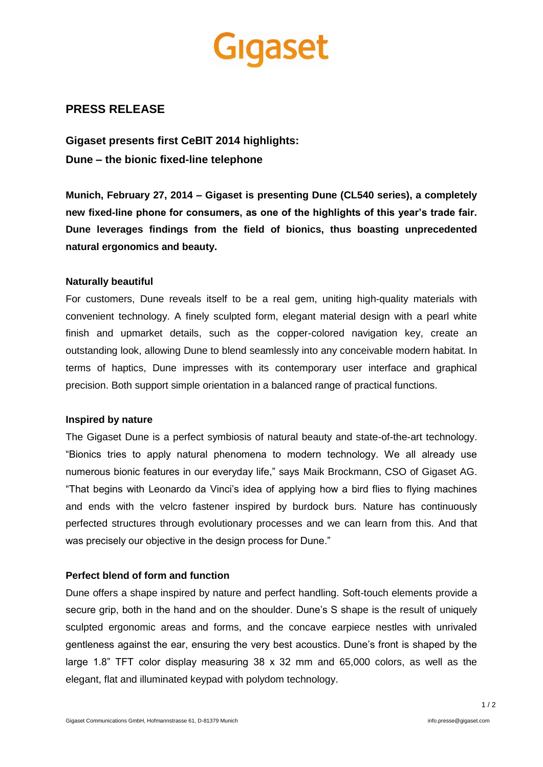# gaset

# **PRESS RELEASE**

**Gigaset presents first CeBIT 2014 highlights: Dune – the bionic fixed-line telephone**

**Munich, February 27, 2014 – Gigaset is presenting Dune (CL540 series), a completely new fixed-line phone for consumers, as one of the highlights of this year's trade fair. Dune leverages findings from the field of bionics, thus boasting unprecedented natural ergonomics and beauty.**

#### **Naturally beautiful**

For customers, Dune reveals itself to be a real gem, uniting high-quality materials with convenient technology. A finely sculpted form, elegant material design with a pearl white finish and upmarket details, such as the copper-colored navigation key, create an outstanding look, allowing Dune to blend seamlessly into any conceivable modern habitat. In terms of haptics, Dune impresses with its contemporary user interface and graphical precision. Both support simple orientation in a balanced range of practical functions.

## **Inspired by nature**

The Gigaset Dune is a perfect symbiosis of natural beauty and state-of-the-art technology. "Bionics tries to apply natural phenomena to modern technology. We all already use numerous bionic features in our everyday life," says Maik Brockmann, CSO of Gigaset AG. "That begins with Leonardo da Vinci's idea of applying how a bird flies to flying machines and ends with the velcro fastener inspired by burdock burs. Nature has continuously perfected structures through evolutionary processes and we can learn from this. And that was precisely our objective in the design process for Dune."

## **Perfect blend of form and function**

Dune offers a shape inspired by nature and perfect handling. Soft-touch elements provide a secure grip, both in the hand and on the shoulder. Dune's S shape is the result of uniquely sculpted ergonomic areas and forms, and the concave earpiece nestles with unrivaled gentleness against the ear, ensuring the very best acoustics. Dune's front is shaped by the large 1.8" TFT color display measuring 38 x 32 mm and 65,000 colors, as well as the elegant, flat and illuminated keypad with polydom technology.